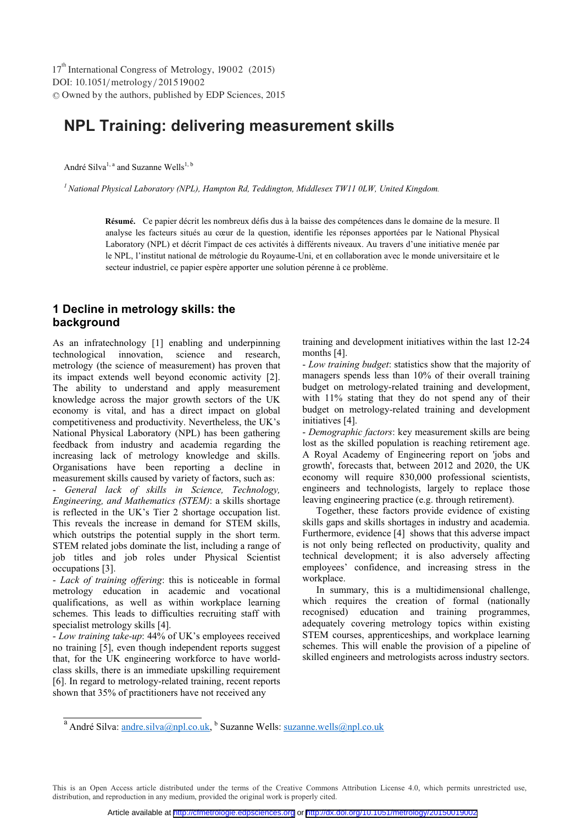DOI: 10.1051/metrology/201519002 -<sup>C</sup> Owned by the authors, published by EDP Sciences, 2015 17<sup>th</sup> International Congress of Metrology, 19002 (2015)

# **NPL Training: delivering measurement skills**

André Silva<sup>1, a</sup> and Suzanne Wells<sup>1, b</sup>

*1 National Physical Laboratory (NPL), Hampton Rd, Teddington, Middlesex TW11 0LW, United Kingdom.* 

Résumé. Ce papier décrit les nombreux défis dus à la baisse des compétences dans le domaine de la mesure. Il analyse les facteurs situés au cœur de la question, identifie les réponses apportées par le National Physical Laboratory (NPL) et décrit l'impact de ces activités à différents niveaux. Au travers d'une initiative menée par le NPL, l'institut national de métrologie du Royaume-Uni, et en collaboration avec le monde universitaire et le secteur industriel, ce papier espère apporter une solution pérenne à ce problème.

# **1 Decline in metrology skills: the background**

As an infratechnology [1] enabling and underpinning technological innovation, science and research, metrology (the science of measurement) has proven that its impact extends well beyond economic activity [2]. The ability to understand and apply measurement knowledge across the major growth sectors of the UK economy is vital, and has a direct impact on global competitiveness and productivity. Nevertheless, the UK's National Physical Laboratory (NPL) has been gathering feedback from industry and academia regarding the increasing lack of metrology knowledge and skills. Organisations have been reporting a decline in measurement skills caused by variety of factors, such as: - *General lack of skills in Science, Technology, Engineering, and Mathematics (STEM)*: a skills shortage is reflected in the UK's Tier 2 shortage occupation list. This reveals the increase in demand for STEM skills, which outstrips the potential supply in the short term. STEM related jobs dominate the list, including a range of job titles and job roles under Physical Scientist occupations [3].

- *Lack of training offering*: this is noticeable in formal metrology education in academic and vocational qualifications, as well as within workplace learning schemes. This leads to difficulties recruiting staff with specialist metrology skills [4].

- *Low training take-up*: 44% of UK's employees received no training [5], even though independent reports suggest that, for the UK engineering workforce to have worldclass skills, there is an immediate upskilling requirement [6]. In regard to metrology-related training, recent reports shown that 35% of practitioners have not received any

training and development initiatives within the last 12-24 months [4].

- *Low training budget*: statistics show that the majority of managers spends less than 10% of their overall training budget on metrology-related training and development, with 11% stating that they do not spend any of their budget on metrology-related training and development initiatives [4].

- *Demographic factors*: key measurement skills are being lost as the skilled population is reaching retirement age. A Royal Academy of Engineering report on 'jobs and growth', forecasts that, between 2012 and 2020, the UK economy will require 830,000 professional scientists, engineers and technologists, largely to replace those leaving engineering practice (e.g. through retirement).

Together, these factors provide evidence of existing skills gaps and skills shortages in industry and academia. Furthermore, evidence [4] shows that this adverse impact is not only being reflected on productivity, quality and technical development; it is also adversely affecting employees' confidence, and increasing stress in the workplace.

In summary, this is a multidimensional challenge, which requires the creation of formal (nationally recognised) education and training programmes, adequately covering metrology topics within existing STEM courses, apprenticeships, and workplace learning schemes. This will enable the provision of a pipeline of skilled engineers and metrologists across industry sectors.

<sup>a</sup> André Silva: **andre.silva@npl.co.uk,** <sup>b</sup> Suzanne Wells: <u>suzanne.wells@npl.co.uk</u>

This is an Open Access article distributed under the terms of the Creative Commons Attribution License 4.0, which permits unrestricted use, distribution, and reproduction in any medium, provided the original work is properly cited.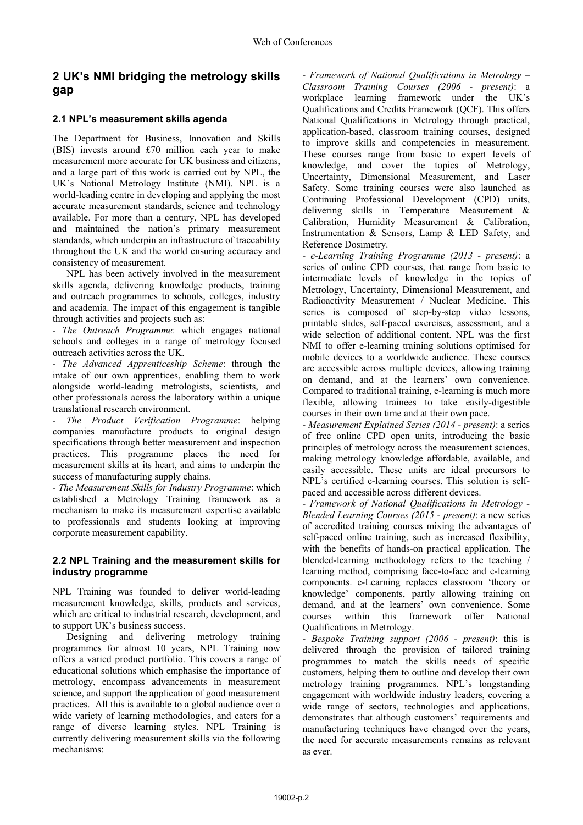# **2 UK's NMI bridging the metrology skills gap**

### **2.1 NPL's measurement skills agenda**

The Department for Business, Innovation and Skills (BIS) invests around £70 million each year to make measurement more accurate for UK business and citizens, and a large part of this work is carried out by NPL, the UK's National Metrology Institute (NMI). NPL is a world-leading centre in developing and applying the most accurate measurement standards, science and technology available. For more than a century, NPL has developed and maintained the nation's primary measurement standards, which underpin an infrastructure of traceability throughout the UK and the world ensuring accuracy and consistency of measurement.

NPL has been actively involved in the measurement skills agenda, delivering knowledge products, training and outreach programmes to schools, colleges, industry and academia. The impact of this engagement is tangible through activities and projects such as:

- *The Outreach Programme*: which engages national schools and colleges in a range of metrology focused outreach activities across the UK.

- *The Advanced Apprenticeship Scheme*: through the intake of our own apprentices, enabling them to work alongside world-leading metrologists, scientists, and other professionals across the laboratory within a unique translational research environment.

- *The Product Verification Programme*: helping companies manufacture products to original design specifications through better measurement and inspection practices. This programme places the need for measurement skills at its heart, and aims to underpin the success of manufacturing supply chains.

- *The Measurement Skills for Industry Programme*: which established a Metrology Training framework as a mechanism to make its measurement expertise available to professionals and students looking at improving corporate measurement capability.

#### **2.2 NPL Training and the measurement skills for industry programme**

NPL Training was founded to deliver world-leading measurement knowledge, skills, products and services, which are critical to industrial research, development, and to support UK's business success.

Designing and delivering metrology training programmes for almost 10 years, NPL Training now offers a varied product portfolio. This covers a range of educational solutions which emphasise the importance of metrology, encompass advancements in measurement science, and support the application of good measurement practices. All this is available to a global audience over a wide variety of learning methodologies, and caters for a range of diverse learning styles. NPL Training is currently delivering measurement skills via the following mechanisms:

- *Framework of National Qualifications in Metrology – Classroom Training Courses (2006 - present)*: a workplace learning framework under the UK's Qualifications and Credits Framework (QCF). This offers National Qualifications in Metrology through practical, application-based, classroom training courses, designed to improve skills and competencies in measurement. These courses range from basic to expert levels of knowledge, and cover the topics of Metrology, Uncertainty, Dimensional Measurement, and Laser Safety. Some training courses were also launched as Continuing Professional Development (CPD) units, delivering skills in Temperature Measurement & Calibration, Humidity Measurement & Calibration, Instrumentation & Sensors, Lamp & LED Safety, and Reference Dosimetry.

- *e-Learning Training Programme (2013 - present)*: a series of online CPD courses, that range from basic to intermediate levels of knowledge in the topics of Metrology, Uncertainty, Dimensional Measurement, and Radioactivity Measurement / Nuclear Medicine. This series is composed of step-by-step video lessons, printable slides, self-paced exercises, assessment, and a wide selection of additional content. NPL was the first NMI to offer e-learning training solutions optimised for mobile devices to a worldwide audience. These courses are accessible across multiple devices, allowing training on demand, and at the learners' own convenience. Compared to traditional training, e-learning is much more flexible, allowing trainees to take easily-digestible courses in their own time and at their own pace.

- *Measurement Explained Series (2014 - present)*: a series of free online CPD open units, introducing the basic principles of metrology across the measurement sciences, making metrology knowledge affordable, available, and easily accessible. These units are ideal precursors to NPL's certified e-learning courses. This solution is selfpaced and accessible across different devices.

- *Framework of National Qualifications in Metrology - Blended Learning Courses (2015 - present)*: a new series of accredited training courses mixing the advantages of self-paced online training, such as increased flexibility, with the benefits of hands-on practical application. The blended-learning methodology refers to the teaching / learning method, comprising face-to-face and e-learning components. e-Learning replaces classroom 'theory or knowledge' components, partly allowing training on demand, and at the learners' own convenience. Some<br>courses within this framework offer National offer National Qualifications in Metrology.

- *Bespoke Training support (2006 - present)*: this is delivered through the provision of tailored training programmes to match the skills needs of specific customers, helping them to outline and develop their own metrology training programmes. NPL's longstanding engagement with worldwide industry leaders, covering a wide range of sectors, technologies and applications, demonstrates that although customers' requirements and manufacturing techniques have changed over the years, the need for accurate measurements remains as relevant as ever.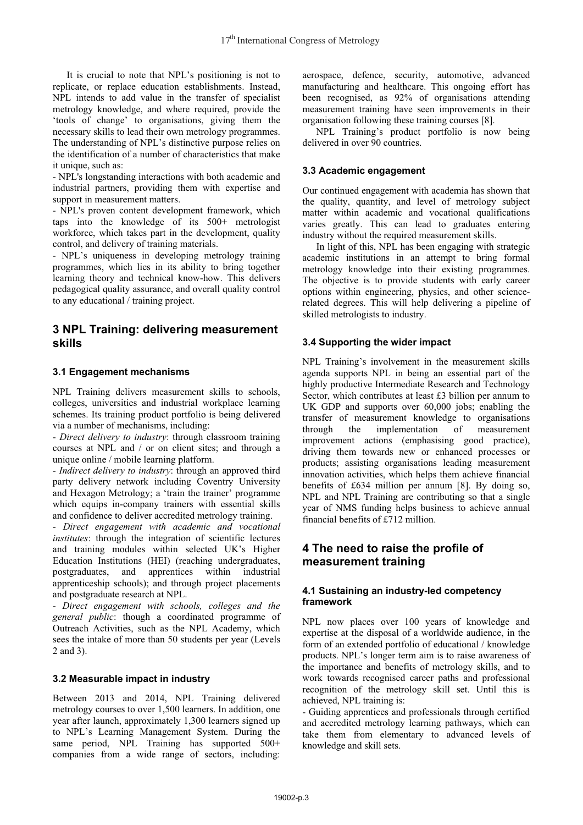It is crucial to note that NPL's positioning is not to replicate, or replace education establishments. Instead, NPL intends to add value in the transfer of specialist metrology knowledge, and where required, provide the 'tools of change' to organisations, giving them the necessary skills to lead their own metrology programmes. The understanding of NPL's distinctive purpose relies on the identification of a number of characteristics that make it unique, such as:

- NPL's longstanding interactions with both academic and industrial partners, providing them with expertise and support in measurement matters.

- NPL's proven content development framework, which taps into the knowledge of its 500+ metrologist workforce, which takes part in the development, quality control, and delivery of training materials.

- NPL's uniqueness in developing metrology training programmes, which lies in its ability to bring together learning theory and technical know-how. This delivers pedagogical quality assurance, and overall quality control to any educational / training project.

# **3 NPL Training: delivering measurement skills**

### **3.1 Engagement mechanisms**

NPL Training delivers measurement skills to schools, colleges, universities and industrial workplace learning schemes. Its training product portfolio is being delivered via a number of mechanisms, including:

- *Direct delivery to industry*: through classroom training courses at NPL and / or on client sites; and through a unique online / mobile learning platform.

- *Indirect delivery to industry*: through an approved third party delivery network including Coventry University and Hexagon Metrology; a 'train the trainer' programme which equips in-company trainers with essential skills and confidence to deliver accredited metrology training.

- *Direct engagement with academic and vocational institutes*: through the integration of scientific lectures and training modules within selected UK's Higher Education Institutions (HEI) (reaching undergraduates, postgraduates, and apprentices within industrial apprenticeship schools); and through project placements and postgraduate research at NPL.

- *Direct engagement with schools, colleges and the general public*: though a coordinated programme of Outreach Activities, such as the NPL Academy, which sees the intake of more than 50 students per year (Levels 2 and 3).

#### **3.2 Measurable impact in industry**

Between 2013 and 2014, NPL Training delivered metrology courses to over 1,500 learners. In addition, one year after launch, approximately 1,300 learners signed up to NPL's Learning Management System. During the same period, NPL Training has supported 500+ companies from a wide range of sectors, including:

aerospace, defence, security, automotive, advanced manufacturing and healthcare. This ongoing effort has been recognised, as 92% of organisations attending measurement training have seen improvements in their organisation following these training courses [8].

NPL Training's product portfolio is now being delivered in over 90 countries.

### **3.3 Academic engagement**

Our continued engagement with academia has shown that the quality, quantity, and level of metrology subject matter within academic and vocational qualifications varies greatly. This can lead to graduates entering industry without the required measurement skills.

In light of this, NPL has been engaging with strategic academic institutions in an attempt to bring formal metrology knowledge into their existing programmes. The objective is to provide students with early career options within engineering, physics, and other sciencerelated degrees. This will help delivering a pipeline of skilled metrologists to industry.

### **3.4 Supporting the wider impact**

NPL Training's involvement in the measurement skills agenda supports NPL in being an essential part of the highly productive Intermediate Research and Technology Sector, which contributes at least £3 billion per annum to UK GDP and supports over 60,000 jobs; enabling the transfer of measurement knowledge to organisations through the implementation of measurement improvement actions (emphasising good practice), driving them towards new or enhanced processes or products; assisting organisations leading measurement innovation activities, which helps them achieve financial benefits of £634 million per annum [8]. By doing so, NPL and NPL Training are contributing so that a single year of NMS funding helps business to achieve annual financial benefits of £712 million.

## **4 The need to raise the profile of measurement training**

### **4.1 Sustaining an industry-led competency framework**

NPL now places over 100 years of knowledge and expertise at the disposal of a worldwide audience, in the form of an extended portfolio of educational / knowledge products. NPL's longer term aim is to raise awareness of the importance and benefits of metrology skills, and to work towards recognised career paths and professional recognition of the metrology skill set. Until this is achieved, NPL training is:

- Guiding apprentices and professionals through certified and accredited metrology learning pathways, which can take them from elementary to advanced levels of knowledge and skill sets.